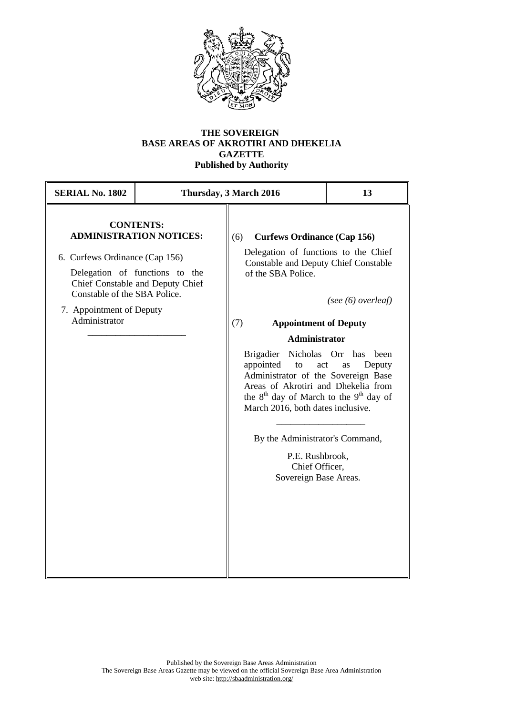

## **THE SOVEREIGN BASE AREAS OF AKROTIRI AND DHEKELIA GAZETTE Published by Authority**

| <b>SERIAL No. 1802</b>                                                                                                                                                                                                                  | Thursday, 3 March 2016 |                                                                                                                                                                                                                                                                                                                                                                                                                                                                                                                                                   | 13 |
|-----------------------------------------------------------------------------------------------------------------------------------------------------------------------------------------------------------------------------------------|------------------------|---------------------------------------------------------------------------------------------------------------------------------------------------------------------------------------------------------------------------------------------------------------------------------------------------------------------------------------------------------------------------------------------------------------------------------------------------------------------------------------------------------------------------------------------------|----|
| <b>CONTENTS:</b><br><b>ADMINISTRATION NOTICES:</b><br>6. Curfews Ordinance (Cap 156)<br>Delegation of functions to the<br>Chief Constable and Deputy Chief<br>Constable of the SBA Police.<br>7. Appointment of Deputy<br>Administrator |                        | <b>Curfews Ordinance (Cap 156)</b><br>(6)<br>Delegation of functions to the Chief<br><b>Constable and Deputy Chief Constable</b><br>of the SBA Police.<br>(see $(6)$ overleaf)<br>(7)<br><b>Appointment of Deputy</b><br><b>Administrator</b><br>Brigadier Nicholas Orr has been<br>appointed<br>to<br>act<br>Deputy<br>as<br>Administrator of the Sovereign Base<br>Areas of Akrotiri and Dhekelia from<br>the $8th$ day of March to the $9th$ day of<br>March 2016, both dates inclusive.<br>By the Administrator's Command,<br>P.E. Rushbrook, |    |
|                                                                                                                                                                                                                                         |                        | Chief Officer,<br>Sovereign Base Areas.                                                                                                                                                                                                                                                                                                                                                                                                                                                                                                           |    |